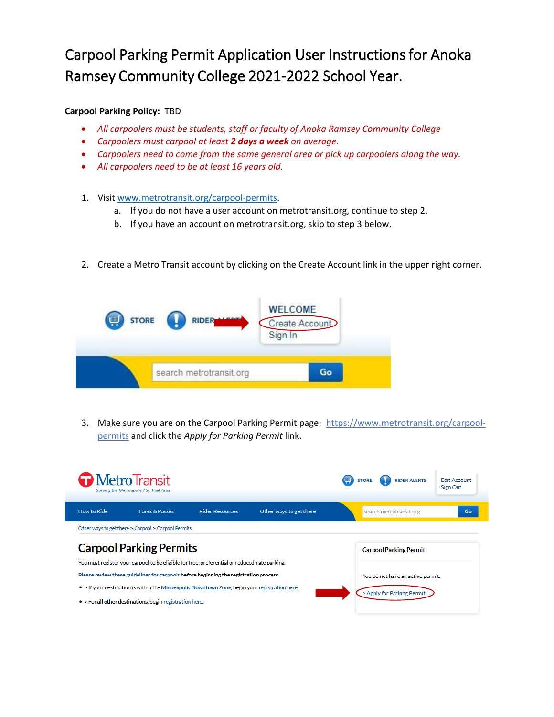## Carpool Parking Permit Application User Instructions for Anoka Ramsey Community College 2021-2022 School Year.

## **Carpool Parking Policy:** [TBD](http://494corridor.org/pdf/Preferential_Carpool_Parking_Policy.pdf)

- *All carpoolers must be students, staff or faculty of Anoka Ramsey Community College*
- *Carpoolers must carpool at least 2 days a week on average.*
- *Carpoolers need to come from the same general area or pick up carpoolers along the way.*
- *All carpoolers need to be at least 16 years old.*
- 1. Visit [www.metrotransit.org/carpool-permits.](http://www.metrotransit.org/carpool-permits)
	- a. If you do not have a user account on metrotransit.org, continue to step 2.
	- b. If you have an account on metrotransit.org, skip to step 3 below.
- 2. Create a Metro Transit account by clicking on the Create Account link in the upper right corner.



3. Make sure you are on the Carpool Parking Permit page: [https://www.metrotransit.org/carpool](https://www.metrotransit.org/carpool-permits)[permits](https://www.metrotransit.org/carpool-permits) and click the *Apply for Parking Permit* link.

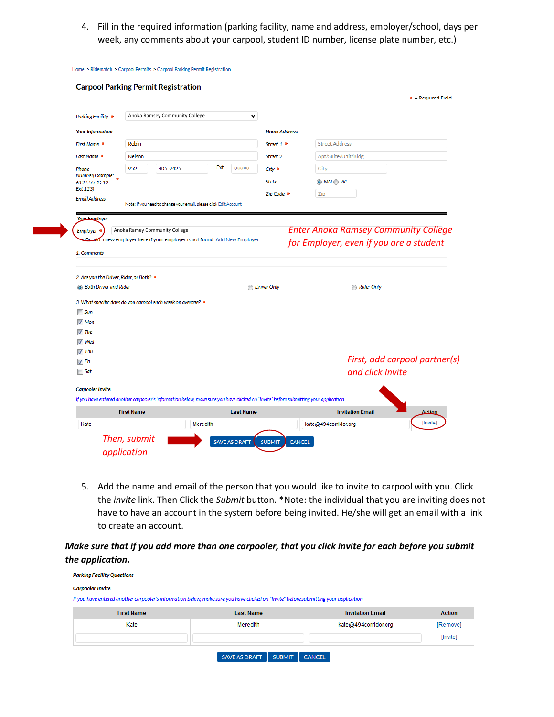4. Fill in the required information (parking facility, name and address, employer/school, days per week, any comments about your carpool, student ID number, license plate number, etc.)

| <b>Carpooler Invite</b>                  |                                                                            |     |                    | If you have entered another carpooler's information below, make sure you have clicked on "Invite" before submitting your application |                                             |                               |
|------------------------------------------|----------------------------------------------------------------------------|-----|--------------------|--------------------------------------------------------------------------------------------------------------------------------------|---------------------------------------------|-------------------------------|
|                                          |                                                                            |     |                    |                                                                                                                                      |                                             |                               |
| $\Box$ Sat                               |                                                                            |     |                    |                                                                                                                                      | and click Invite                            |                               |
| √ Fri                                    |                                                                            |     |                    |                                                                                                                                      |                                             | First, add carpool partner(s) |
| V Wed<br>$\sqrt{ }$ Thu                  |                                                                            |     |                    |                                                                                                                                      |                                             |                               |
| $\sqrt{}$ Tue                            |                                                                            |     |                    |                                                                                                                                      |                                             |                               |
| $V$ Mon                                  |                                                                            |     |                    |                                                                                                                                      |                                             |                               |
| $\Box$ Sun                               |                                                                            |     |                    |                                                                                                                                      |                                             |                               |
|                                          | 3. What specific days do you carpool each week on average? *               |     |                    |                                                                                                                                      |                                             |                               |
| <b>Both Driver and Rider</b>             |                                                                            |     | <b>Driver Only</b> | Rider Only                                                                                                                           |                                             |                               |
| 2. Are you the Driver, Rider, or Both? * |                                                                            |     |                    |                                                                                                                                      |                                             |                               |
| 1. Comments                              |                                                                            |     |                    |                                                                                                                                      |                                             |                               |
|                                          | Or add a new employer here if your employer is not found. Add New Employer |     |                    |                                                                                                                                      | for Employer, even if you are a student     |                               |
| Employer *                               | Anoka Ramey Community College                                              |     |                    |                                                                                                                                      | <b>Enter Anoka Ramsey Community College</b> |                               |
| Your Employer                            |                                                                            |     |                    |                                                                                                                                      |                                             |                               |
|                                          | Note: If you need to change your email, please click Edit Account          |     |                    |                                                                                                                                      |                                             |                               |
| Ext 123)<br><b>Email Address</b>         |                                                                            |     |                    | Zip Code *                                                                                                                           | Zip                                         |                               |
| 612 555-1212                             |                                                                            |     |                    | <b>State</b>                                                                                                                         | $\odot$ MN $\odot$ WI                       |                               |
| Phone<br>Number(Example:                 | 952<br>405-9425                                                            | Ext | 99999              | City *                                                                                                                               | City                                        |                               |
| Last Name *                              | Nelson                                                                     |     |                    | Street 2                                                                                                                             | Apt/Suite/Unit/Bldg                         |                               |
| First Name *                             | Robin                                                                      |     |                    | Street 1 *                                                                                                                           | <b>Street Address</b>                       |                               |
| <b>Your Information</b>                  |                                                                            |     |                    | <b>Home Address:</b>                                                                                                                 |                                             |                               |
|                                          |                                                                            |     |                    |                                                                                                                                      |                                             |                               |
| <b>Parking Facility *</b>                | Anoka Ramsey Community College                                             |     | v                  |                                                                                                                                      |                                             |                               |
|                                          |                                                                            |     |                    |                                                                                                                                      |                                             |                               |

5. Add the name and email of the person that you would like to invite to carpool with you. Click the *invite* link. Then Click the *Submit* button. \*Note: the individual that you are inviting does not have to have an account in the system before being invited. He/she will get an email with a link to create an account.

*Make sure that if you add more than one carpooler, that you click invite for each before you submit the application.*

| <b>Parking Facility Questions</b> |                                                                                                                                      |                         |               |
|-----------------------------------|--------------------------------------------------------------------------------------------------------------------------------------|-------------------------|---------------|
| <b>Carpooler Invite</b>           |                                                                                                                                      |                         |               |
|                                   | If you have entered another carpooler's information below, make sure you have clicked on "Invite" before submitting your application |                         |               |
| <b>First Name</b>                 | <b>Last Name</b>                                                                                                                     | <b>Invitation Email</b> | <b>Action</b> |
| Kate                              | Meredith                                                                                                                             | kate@494corridor.org    | [Remove]      |
|                                   |                                                                                                                                      |                         | [Invite]      |